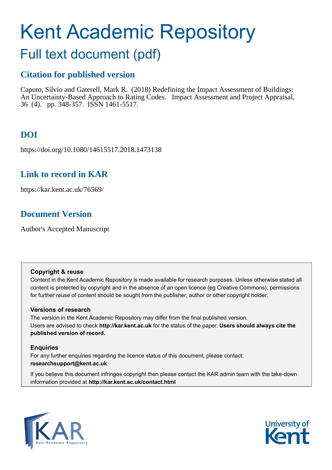# Kent Academic Repository

## Full text document (pdf)

## **Citation for published version**

Caputo, Silvio and Gaterell, Mark R. (2018) Redefining the Impact Assessment of Buildings: An Uncertainty-Based Approach to Rating Codes. Impact Assessment and Project Appraisal, 36 (4). pp. 348-357. ISSN 1461-5517.

## **DOI**

https://doi.org/10.1080/14615517.2018.1473138

## **Link to record in KAR**

https://kar.kent.ac.uk/76569/

## **Document Version**

Author's Accepted Manuscript

## **Copyright & reuse**

Content in the Kent Academic Repository is made available for research purposes. Unless otherwise stated all content is protected by copyright and in the absence of an open licence (eg Creative Commons), permissions for further reuse of content should be sought from the publisher, author or other copyright holder.

## **Versions of research**

The version in the Kent Academic Repository may differ from the final published version. Users are advised to check **http://kar.kent.ac.uk** for the status of the paper. **Users should always cite the published version of record.**

## **Enquiries**

For any further enquiries regarding the licence status of this document, please contact: **researchsupport@kent.ac.uk**

If you believe this document infringes copyright then please contact the KAR admin team with the take-down information provided at **http://kar.kent.ac.uk/contact.html**



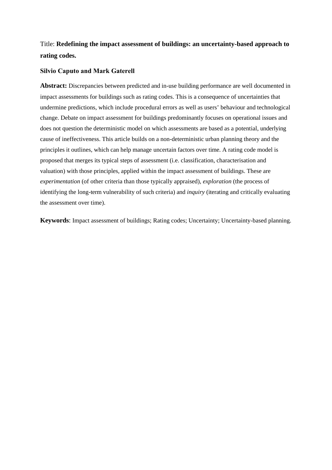## Title: **Redefining the impact assessment of buildings: an uncertainty-based approach to rating codes.**

#### **Silvio Caputo and Mark Gaterell**

**Abstract:** Discrepancies between predicted and in-use building performance are well documented in impact assessments for buildings such as rating codes. This is a consequence of uncertainties that undermine predictions, which include procedural errors as well as users' behaviour and technological change. Debate on impact assessment for buildings predominantly focuses on operational issues and does not question the deterministic model on which assessments are based as a potential, underlying cause of ineffectiveness. This article builds on a non-deterministic urban planning theory and the principles it outlines, which can help manage uncertain factors over time. A rating code model is proposed that merges its typical steps of assessment (i.e. classification, characterisation and valuation) with those principles, applied within the impact assessment of buildings. These are *experimentation* (of other criteria than those typically appraised), *exploration* (the process of identifying the long-term vulnerability of such criteria) and *inquiry* (iterating and critically evaluating the assessment over time).

**Keywords**: Impact assessment of buildings; Rating codes; Uncertainty; Uncertainty-based planning.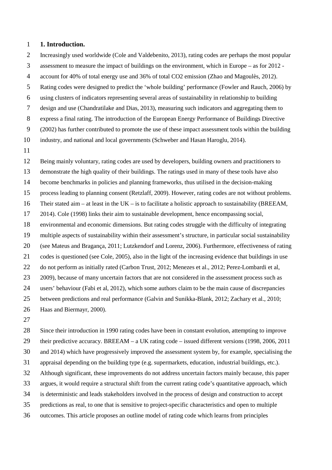#### **1. Introduction.**

Increasingly used worldwide (Cole and Valdebenito, 2013), rating codes are perhaps the most popular

assessment to measure the impact of buildings on the environment, which in Europe – as for 2012 -

account for 40% of total energy use and 36% of total CO2 emission (Zhao and Magoulès, 2012).

Rating codes were designed to predict the 'whole building' performance (Fowler and Rauch, 2006) by

using clusters of indicators representing several areas of sustainability in relationship to building

design and use (Chandratilake and Dias, 2013), measuring such indicators and aggregating them to

express a final rating. The introduction of the European Energy Performance of Buildings Directive

(2002) has further contributed to promote the use of these impact assessment tools within the building

industry, and national and local governments (Schweber and Hasan Haroglu, 2014).

 Being mainly voluntary, rating codes are used by developers, building owners and practitioners to demonstrate the high quality of their buildings. The ratings used in many of these tools have also become benchmarks in policies and planning frameworks, thus utilised in the decision-making process leading to planning consent (Retzlaff, 2009). However, rating codes are not without problems. Their stated aim – at least in the UK – is to facilitate a holistic approach to sustainability (BREEAM, 2014). Cole (1998) links their aim to sustainable development, hence encompassing social, environmental and economic dimensions. But rating codes struggle with the difficulty of integrating multiple aspects of sustainability within their assessment's structure, in particular social sustainability (see Mateus and Bragança, 2011; Lutzkendorf and Lorenz, 2006). Furthermore, effectiveness of rating codes is questioned (see Cole, 2005), also in the light of the increasing evidence that buildings in use 22 do not perform as initially rated (Carbon Trust, 2012; Menezes et al., 2012; Perez-Lombardi et al, 23 2009), because of many uncertain factors that are not considered in the assessment process such as users' behaviour (Fabi et al, 2012), which some authors claim to be the main cause of discrepancies between predictions and real performance (Galvin and Sunikka-Blank, 2012; Zachary et al., 2010; Haas and Biermayr, 2000).

 Since their introduction in 1990 rating codes have been in constant evolution, attempting to improve their predictive accuracy. BREEAM – a UK rating code – issued different versions (1998, 2006, 2011 and 2014) which have progressively improved the assessment system by, for example, specialising the appraisal depending on the building type (e.g. supermarkets, education, industrial buildings, etc.). Although significant, these improvements do not address uncertain factors mainly because, this paper argues, it would require a structural shift from the current rating code's quantitative approach, which is deterministic and leads stakeholders involved in the process of design and construction to accept predictions as real, to one that is sensitive to project-specific characteristics and open to multiple

outcomes. This article proposes an outline model of rating code which learns from principles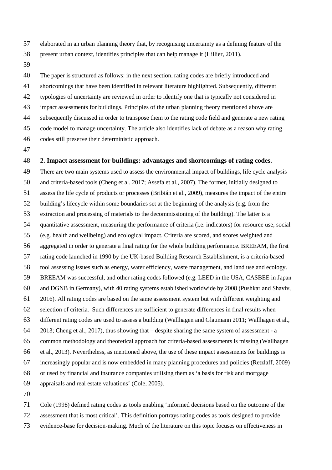- elaborated in an urban planning theory that, by recognising uncertainty as a defining feature of the present urban context, identifies principles that can help manage it (Hillier, 2011).
- 

 The paper is structured as follows: in the next section, rating codes are briefly introduced and shortcomings that have been identified in relevant literature highlighted. Subsequently, different typologies of uncertainty are reviewed in order to identify one that is typically not considered in impact assessments for buildings. Principles of the urban planning theory mentioned above are subsequently discussed in order to transpose them to the rating code field and generate a new rating code model to manage uncertainty. The article also identifies lack of debate as a reason why rating codes still preserve their deterministic approach.

#### **2. Impact assessment for buildings: advantages and shortcomings of rating codes.**

 There are two main systems used to assess the environmental impact of buildings, life cycle analysis and criteria-based tools (Cheng et al. 2017; Assefa et al., 2007). The former, initially designed to assess the life cycle of products or processes (Bribián et al., 2009), measures the impact of the entire building's lifecycle within some boundaries set at the beginning of the analysis (e.g. from the extraction and processing of materials to the decommissioning of the building). The latter is a quantitative assessment, measuring the performance of criteria (i.e. indicators) for resource use, social (e.g. health and wellbeing) and ecological impact. Criteria are scored, and scores weighted and aggregated in order to generate a final rating for the whole building performance. BREEAM, the first rating code launched in 1990 by the UK-based Building Research Establishment, is a criteria-based tool assessing issues such as energy, water efficiency, waste management, and land use and ecology. BREEAM was successful, and other rating codes followed (e.g. LEED in the USA, CASBEE in Japan and DGNB in Germany), with 40 rating systems established worldwide by 2008 (Pushkar and Shaviv, 2016). All rating codes are based on the same assessment system but with different weighting and selection of criteria. Such differences are sufficient to generate differences in final results when different rating codes are used to assess a building (Wallhagen and Glaumann 2011; Wallhagen et al., 2013; Cheng et al., 2017), thus showing that – despite sharing the same system of assessment - a common methodology and theoretical approach for criteria-based assessments is missing (Wallhagen et al., 2013). Nevertheless, as mentioned above, the use of these impact assessments for buildings is increasingly popular and is now embedded in many planning procedures and policies (Retzlaff, 2009) or used by financial and insurance companies utilising them as 'a basis for risk and mortgage appraisals and real estate valuations' (Cole, 2005). 

 Cole (1998) defined rating codes as tools enabling 'informed decisions based on the outcome of the assessment that is most critical'. This definition portrays rating codes as tools designed to provide evidence-base for decision-making. Much of the literature on this topic focuses on effectiveness in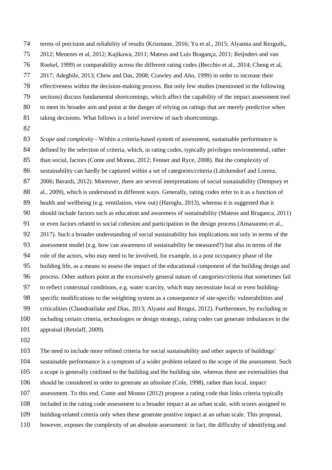- terms of precision and reliability of results (Krizmane, 2016; Yu et al., 2015; Alyamia and Rezguib,,
- 2012; Menezes et al, 2012; Kajikawa, 2011; Mateus and Luís Bragança, 2011; Reijnders and van
- Roekel, 1999) or comparability across the different rating codes (Becchio et al., 2014; Cheng et al,
- 2017; Adegbile, 2013; Chew and Das, 2008; Crawley and Aho, 1999) in order to increase their
- effectiveness within the decision-making process. But only few studies (mentioned in the following
- sections) discuss fundamental shortcomings, which affect the capability of the impact assessment tool
- to meet its broader aim and point at the danger of relying on ratings that are merely predictive when
- 81 taking decisions. What follows is a brief overview of such shortcomings.
- 

 *Scope and complexity* - Within a criteria-based system of assessment, sustainable performance is defined by the selection of criteria, which, in rating codes, typically privileges environmental, rather 85 than social, factors (Conte and Monno, 2012; Fenner and Ryce, 2008). But the complexity of sustainability can hardly be captured within a set of categories/criteria (Lützkendorf and Lorenz, 2006; Berardi, 2012). Moreover, there are several interpretations of social sustainability (Dempsey et 88 al., 2009), which is understood in different ways. Generally, rating codes refer to it as a function of health and wellbeing (e.g. ventilation, view out) (Haroglu, 2013), whereas it is suggested that it should include factors such as education and awareness of sustainability (Mateus and Braganca, 2011) or even factors related to social cohesion and participation in the design process (Amasuomo et al., 2017). Such a broader understanding of social sustainability has implications not only in terms of the assessment model (e.g. how can awareness of sustainability be measured?) but also in terms of the role of the actors, who may need to be involved, for example, in a post occupancy phase of the building life, as a means to assess the impact of the educational component of the building design and process. Other authors point at the excessively general nature of categories/criteria that sometimes fail to reflect contextual conditions, e.g. water scarcity, which may necessitate local or even building- specific modifications to the weighting system as a consequence of site-specific vulnerabilities and criticalities (Chandratilake and Dias, 2013; Alyami and Rezgui, 2012). Furthermore, by excluding or including certain criteria, technologies or design strategy, rating codes can generate imbalances in the appraisal (Retzlaff, 2009).

- 
- The need to include more refined criteria for social sustainability and other aspects of buildings'
- sustainable performance is a symptom of a wider problem related to the scope of the assessment. Such
- a scope is generally confined to the building and the building site, whereas there are externalities that
- should be considered in order to generate an *absolute* (Cole, 1998), rather than local, impact
- assessment. To this end, Conte and Monno (2012) propose a rating code that links criteria typically
- included in the rating code assessment to a broader impact at an urban scale, with scores assigned to
- building-related criteria only when these generate positive impact at an urban scale. This proposal,
- however, exposes the complexity of an absolute assessment: in fact, the difficulty of identifying and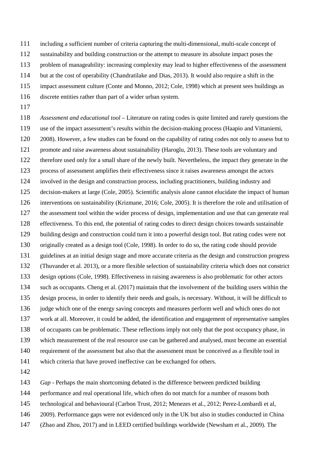- including a sufficient number of criteria capturing the multi-dimensional, multi-scale concept of
- sustainability and building construction or the attempt to measure its absolute impact poses the
- problem of manageability: increasing complexity may lead to higher effectiveness of the assessment
- but at the cost of operability (Chandratilake and Dias, 2013). It would also require a shift in the
- impact assessment culture (Conte and Monno, 2012; Cole, 1998) which at present sees buildings as
- discrete entities rather than part of a wider urban system.
- 

 *Assessment and educational tool* – Literature on rating codes is quite limited and rarely questions the use of the impact assessment's results within the decision-making process (Haapio and Vittaniemi, 2008). However, a few studies can be found on the capability of rating codes not only to assess but to promote and raise awareness about sustainability (Haroglu, 2013). These tools are voluntary and therefore used only for a small share of the newly built. Nevertheless, the impact they generate in the process of assessment amplifies their effectiveness since it raises awareness amongst the actors involved in the design and construction process, including practitioners, building industry and decision-makers at large (Cole, 2005). Scientific analysis alone cannot elucidate the impact of human interventions on sustainability (Krizmane, 2016; Cole, 2005). It is therefore the role and utilisation of the assessment tool within the wider process of design, implementation and use that can generate real effectiveness. To this end, the potential of rating codes to direct design choices towards sustainable building design and construction could turn it into a powerful design tool. But rating codes were not originally created as a design tool (Cole, 1998). In order to do so, the rating code should provide guidelines at an initial design stage and more accurate criteria as the design and construction progress (Thuvander et al. 2013), or a more flexible selection of sustainability criteria which does not constrict design options (Cole, 1998). Effectiveness in raising awareness is also problematic for other actors such as occupants. Cheng et al. (2017) maintain that the involvement of the building users within the design process, in order to identify their needs and goals, is necessary. Without, it will be difficult to judge which one of the energy saving concepts and measures perform well and which ones do not work at all. Moreover, it could be added, the identification and engagement of representative samples of occupants can be problematic. These reflections imply not only that the post occupancy phase, in which measurement of the real resource use can be gathered and analysed, must become an essential requirement of the assessment but also that the assessment must be conceived as a flexible tool in which criteria that have proved ineffective can be exchanged for others. 

- *Gap* Perhaps the main shortcoming debated is the difference between predicted building
- performance and real operational life, which often do not match for a number of reasons both
- technological and behavioural (Carbon Trust, 2012; Menezes et al., 2012; Perez-Lombardi et al,
- 2009). Performance gaps were not evidenced only in the UK but also in studies conducted in China
- (Zhao and Zhou, 2017) and in LEED certified buildings worldwide (Newsham et al., 2009). The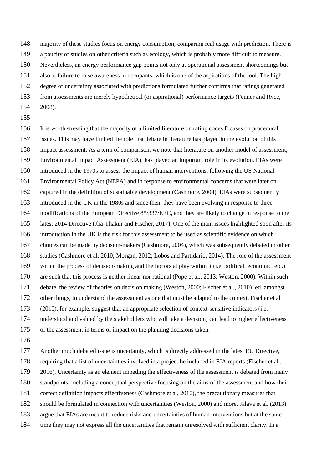majority of these studies focus on energy consumption, comparing real usage with prediction. There is

a paucity of studies on other criteria such as ecology, which is probably more difficult to measure.

Nevertheless, an energy performance gap points not only at operational assessment shortcomings but

also at failure to raise awareness in occupants, which is one of the aspirations of the tool. The high

degree of uncertainty associated with predictions formulated further confirms that ratings generated

- from assessments are merely hypothetical (or aspirational) performance targets (Fenner and Ryce,
- 2008).
- 

 It is worth stressing that the majority of a limited literature on rating codes focuses on procedural issues. This may have limited the role that debate in literature has played in the evolution of this impact assessment. As a term of comparison, we note that literature on another model of assessment, Environmental Impact Assessment (EIA), has played an important role in its evolution. EIAs were introduced in the 1970s to assess the impact of human interventions, following the US National Environmental Policy Act (NEPA) and in response to environmental concerns that were later on captured in the definition of sustainable development (Cashmore, 2004). EIAs were subsequently introduced in the UK in the 1980s and since then, they have been evolving in response to three modifications of the European Directive 85/337/EEC, and they are likely to change in response to the latest 2014 Directive (Jha-Thakur and Fischer, 2017). One of the main issues highlighted soon after its introduction in the UK is the risk for this assessment to be used as scientific evidence on which choices can be made by decision-makers (Cashmore, 2004), which was subsequently debated in other studies (Cashmore et al, 2010; Morgan, 2012; Lobos and Partidario, 2014). The role of the assessment within the process of decision-making and the factors at play within it (i.e. political, economic, etc.) are such that this process is neither linear nor rational (Pope et al., 2013; Weston, 2000). Within such debate, the review of theories on decision making (Weston, 2000; Fischer et al., 2010) led, amongst other things, to understand the assessment as one that must be adapted to the context. Fischer et al (2010), for example, suggest that an appropriate selection of context-sensitive indicators (i.e. understood and valued by the stakeholders who will take a decision) can lead to higher effectiveness of the assessment in terms of impact on the planning decisions taken.

Another much debated issue is uncertainty, which is directly addressed in the latest EU Directive,

requiring that a list of uncertainties involved in a project be included in EIA reports (Fischer et al.,

2016). Uncertainty as an element impeding the effectiveness of the assessment is debated from many

standpoints, including a conceptual perspective focusing on the aims of the assessment and how their

correct definition impacts effectiveness (Cashmore et al, 2010), the precautionary measures that

- should be formulated in connection with uncertainties (Weston, 2000) and more. Jalava et al. (2013)
- argue that EIAs are meant to reduce risks and uncertainties of human interventions but at the same
- time they may not express all the uncertainties that remain unresolved with sufficient clarity. In a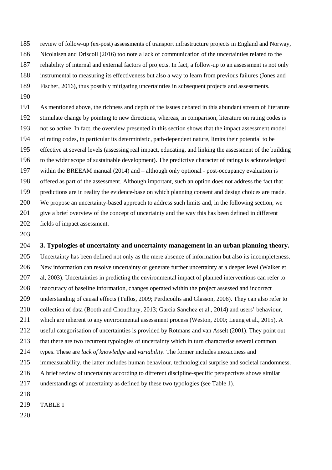review of follow-up (ex-post) assessments of transport infrastructure projects in England and Norway,

- Nicolaisen and Driscoll (2016) too note a lack of communication of the uncertainties related to the
- reliability of internal and external factors of projects. In fact, a follow-up to an assessment is not only
- instrumental to measuring its effectiveness but also a way to learn from previous failures (Jones and
- Fischer, 2016), thus possibly mitigating uncertainties in subsequent projects and assessments.
- 

 As mentioned above, the richness and depth of the issues debated in this abundant stream of literature stimulate change by pointing to new directions, whereas, in comparison, literature on rating codes is not so active. In fact, the overview presented in this section shows that the impact assessment model of rating codes, in particular its deterministic, path-dependent nature, limits their potential to be effective at several levels (assessing real impact, educating, and linking the assessment of the building to the wider scope of sustainable development). The predictive character of ratings is acknowledged within the BREEAM manual (2014) and – although only optional - post-occupancy evaluation is offered as part of the assessment. Although important, such an option does not address the fact that predictions are in reality the evidence-base on which planning consent and design choices are made. We propose an uncertainty-based approach to address such limits and, in the following section, we give a brief overview of the concept of uncertainty and the way this has been defined in different fields of impact assessment.

## **3. Typologies of uncertainty and uncertainty management in an urban planning theory.**

 Uncertainty has been defined not only as the mere absence of information but also its incompleteness. New information can resolve uncertainty or generate further uncertainty at a deeper level (Walker et al, 2003). Uncertainties in predicting the environmental impact of planned interventions can refer to inaccuracy of baseline information, changes operated within the project assessed and incorrect understanding of causal effects (Tullos, 2009; Perdicoúlis and Glasson, 2006). They can also refer to collection of data (Booth and Choudhary, 2013; Garcia Sanchez et al., 2014) and users' behaviour, which are inherent to any environmental assessment process (Weston, 2000; Leung et al., 2015). A useful categorisation of uncertainties is provided by Rotmans and van Asselt (2001). They point out that there are two recurrent typologies of uncertainty which in turn characterise several common types. These are *lack of knowledge* and *variability*. The former includes inexactness and immeasurability, the latter includes human behaviour, technological surprise and societal randomness. A brief review of uncertainty according to different discipline-specific perspectives shows similar understandings of uncertainty as defined by these two typologies (see Table 1). TABLE 1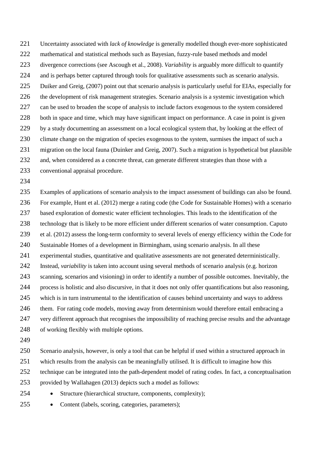Uncertainty associated with *lack of knowledge* is generally modelled though ever-more sophisticated mathematical and statistical methods such as Bayesian, fuzzy-rule based methods and model divergence corrections (see Ascough et al., 2008). *Variability* is arguably more difficult to quantify and is perhaps better captured through tools for qualitative assessments such as scenario analysis. Duiker and Greig, (2007) point out that scenario analysis is particularly useful for EIAs, especially for the development of risk management strategies. Scenario analysis is a systemic investigation which can be used to broaden the scope of analysis to include factors exogenous to the system considered both in space and time, which may have significant impact on performance. A case in point is given by a study documenting an assessment on a local ecological system that, by looking at the effect of 230 climate change on the migration of species exogenous to the system, surmises the impact of such a migration on the local fauna (Duinker and Greig, 2007). Such a migration is hypothetical but plausible and, when considered as a concrete threat, can generate different strategies than those with a

- conventional appraisal procedure.
- 

 Examples of applications of scenario analysis to the impact assessment of buildings can also be found. For example, Hunt et al. (2012) merge a rating code (the Code for Sustainable Homes) with a scenario based exploration of domestic water efficient technologies. This leads to the identification of the technology that is likely to be more efficient under different scenarios of water consumption. Caputo et al. (2012) assess the long-term conformity to several levels of energy efficiency within the Code for Sustainable Homes of a development in Birmingham, using scenario analysis. In all these experimental studies, quantitative and qualitative assessments are not generated deterministically. Instead, *variability* is taken into account using several methods of scenario analysis (e.g. horizon scanning, scenarios and visioning) in order to identify a number of possible outcomes. Inevitably, the process is holistic and also discursive, in that it does not only offer quantifications but also reasoning, which is in turn instrumental to the identification of causes behind uncertainty and ways to address 246 them. For rating code models, moving away from determinism would therefore entail embracing a very different approach that recognises the impossibility of reaching precise results and the advantage of working flexibly with multiple options. 

- Scenario analysis, however, is only a tool that can be helpful if used within a structured approach in
- which results from the analysis can be meaningfully utilised. It is difficult to imagine how this
- technique can be integrated into the path-dependent model of rating codes. In fact, a conceptualisation
- provided by Wallahagen (2013) depicts such a model as follows:
- Structure (hierarchical structure, components, complexity);
- 255 Content (labels, scoring, categories, parameters);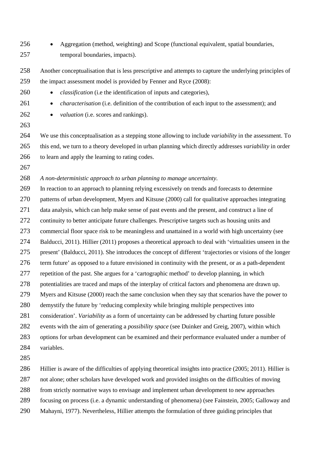- 256 Aggregation (method, weighting) and Scope (functional equivalent, spatial boundaries, temporal boundaries, impacts).
- Another conceptualisation that is less prescriptive and attempts to capture the underlying principles of the impact assessment model is provided by Fenner and Ryce (2008):
- *classification* (i.e the identification of inputs and categories),
- *characterisation* (i.e. definition of the contribution of each input to the assessment); and
- 

262 • *valuation* (i.e. scores and rankings).

 We use this conceptualisation as a stepping stone allowing to include *variability* in the assessment. To this end, we turn to a theory developed in urban planning which directly addresses *variability* in order to learn and apply the learning to rating codes.

*A non-deterministic approach to urban planning to manage uncertainty.*

 In reaction to an approach to planning relying excessively on trends and forecasts to determine patterns of urban development, Myers and Kitsuse (2000) call for qualitative approaches integrating data analysis, which can help make sense of past events and the present, and construct a line of continuity to better anticipate future challenges. Prescriptive targets such as housing units and commercial floor space risk to be meaningless and unattained in a world with high uncertainty (see Balducci, 2011). Hillier (2011) proposes a theoretical approach to deal with 'virtualities unseen in the present' (Balducci, 2011). She introduces the concept of different 'trajectories or visions of the longer term future' as opposed to a future envisioned in continuity with the present, or as a path-dependent repetition of the past. She argues for a 'cartographic method' to develop planning, in which potentialities are traced and maps of the interplay of critical factors and phenomena are drawn up. Myers and Kitsuse (2000) reach the same conclusion when they say that scenarios have the power to demystify the future by 'reducing complexity while bringing multiple perspectives into consideration'. *Variability* as a form of uncertainty can be addressed by charting future possible events with the aim of generating a *possibility space* (see Duinker and Greig, 2007)*,* within which options for urban development can be examined and their performance evaluated under a number of variables. Hillier is aware of the difficulties of applying theoretical insights into practice (2005; 2011). Hillier is

not alone; other scholars have developed work and provided insights on the difficulties of moving

- from strictly normative ways to envisage and implement urban development to new approaches
- focusing on process (i.e. a dynamic understanding of phenomena) (see Fainstein, 2005; Galloway and
- Mahayni, 1977). Nevertheless, Hillier attempts the formulation of three guiding principles that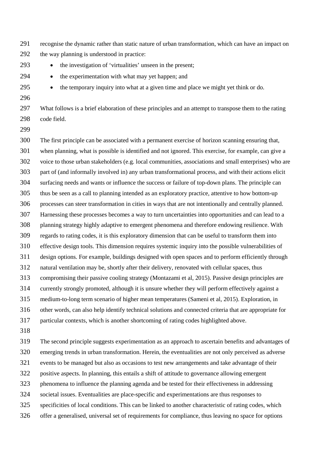- recognise the dynamic rather than static nature of urban transformation, which can have an impact on the way planning is understood in practice:
- 
- the investigation of 'virtualities' unseen in the present;
- 294 the experimentation with what may yet happen; and
- 
- the temporary inquiry into what at a given time and place we might yet think or do.
- 

 What follows is a brief elaboration of these principles and an attempt to transpose them to the rating code field.

 The first principle can be associated with a permanent exercise of horizon scanning ensuring that, when planning, what is possible is identified and not ignored. This exercise, for example, can give a voice to those urban stakeholders (e.g. local communities, associations and small enterprises) who are part of (and informally involved in) any urban transformational process, and with their actions elicit surfacing needs and wants or influence the success or failure of top-down plans. The principle can thus be seen as a call to planning intended as an exploratory practice, attentive to how bottom-up processes can steer transformation in cities in ways that are not intentionally and centrally planned. Harnessing these processes becomes a way to turn uncertainties into opportunities and can lead to a planning strategy highly adaptive to emergent phenomena and therefore endowing resilience. With regards to rating codes, it is this exploratory dimension that can be useful to transform them into effective design tools. This dimension requires systemic inquiry into the possible vulnerabilities of design options. For example, buildings designed with open spaces and to perform efficiently through natural ventilation may be, shortly after their delivery, renovated with cellular spaces, thus compromising their passive cooling strategy (Montazami et al, 2015). Passive design principles are currently strongly promoted, although it is unsure whether they will perform effectively against a medium-to-long term scenario of higher mean temperatures (Sameni et al, 2015). Exploration, in other words, can also help identify technical solutions and connected criteria that are appropriate for particular contexts, which is another shortcoming of rating codes highlighted above.

 The second principle suggests experimentation as an approach to ascertain benefits and advantages of emerging trends in urban transformation. Herein, the eventualities are not only perceived as adverse events to be managed but also as occasions to test new arrangements and take advantage of their positive aspects. In planning, this entails a shift of attitude to governance allowing emergent phenomena to influence the planning agenda and be tested for their effectiveness in addressing societal issues. Eventualities are place-specific and experimentations are thus responses to specificities of local conditions. This can be linked to another characteristic of rating codes, which offer a generalised, universal set of requirements for compliance, thus leaving no space for options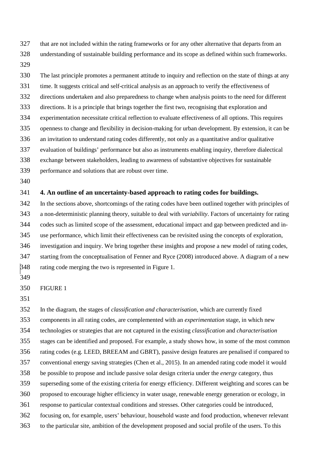that are not included within the rating frameworks or for any other alternative that departs from an understanding of sustainable building performance and its scope as defined within such frameworks.

 The last principle promotes a permanent attitude to inquiry and reflection on the state of things at any time. It suggests critical and self-critical analysis as an approach to verify the effectiveness of directions undertaken and also preparedness to change when analysis points to the need for different directions. It is a principle that brings together the first two, recognising that exploration and experimentation necessitate critical reflection to evaluate effectiveness of all options. This requires openness to change and flexibility in decision-making for urban development. By extension, it can be an invitation to understand rating codes differently, not only as a quantitative and/or qualitative evaluation of buildings' performance but also as instruments enabling inquiry, therefore dialectical exchange between stakeholders, leading to awareness of substantive objectives for sustainable performance and solutions that are robust over time. 

## **4. An outline of an uncertainty-based approach to rating codes for buildings.**

 In the sections above, shortcomings of the rating codes have been outlined together with principles of a non-deterministic planning theory, suitable to deal with *variability*. Factors of uncertainty for rating codes such as limited scope of the assessment, educational impact and gap between predicted and in- use performance, which limit their effectiveness can be revisited using the concepts of exploration, investigation and inquiry. We bring together these insights and propose a new model of rating codes, starting from the conceptualisation of Fenner and Ryce (2008) introduced above. A diagram of a new rating code merging the two is represented in Figure 1.

#### FIGURE 1

 In the diagram, the stages of *classification and characterisation*, which are currently fixed components in all rating codes, are complemented with an *experimentation* stage, in which new technologies or strategies that are not captured in the existing *classification* and *characterisation* stages can be identified and proposed. For example, a study shows how, in some of the most common rating codes (e.g. LEED, BREEAM and GBRT), passive design features are penalised if compared to conventional energy saving strategies (Chen et al., 2015). In an amended rating code model it would be possible to propose and include passive solar design criteria under the *energy* category, thus superseding some of the existing criteria for energy efficiency. Different weighting and scores can be proposed to encourage higher efficiency in water usage, renewable energy generation or ecology, in response to particular contextual conditions and stresses. Other categories could be introduced, focusing on, for example, users' behaviour, household waste and food production, whenever relevant to the particular site, ambition of the development proposed and social profile of the users. To this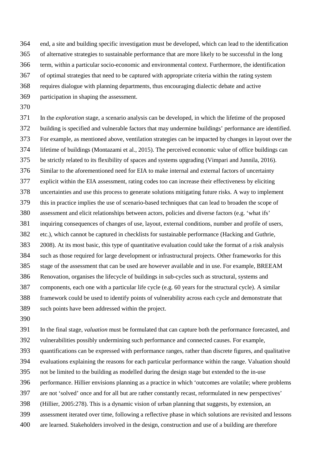end, a site and building specific investigation must be developed, which can lead to the identification

- of alternative strategies to sustainable performance that are more likely to be successful in the long
- term, within a particular socio-economic and environmental context. Furthermore, the identification
- of optimal strategies that need to be captured with appropriate criteria within the rating system
- requires dialogue with planning departments, thus encouraging dialectic debate and active
- participation in shaping the assessment.
- 

 In the *exploration* stage, a scenario analysis can be developed, in which the lifetime of the proposed building is specified and vulnerable factors that may undermine buildings' performance are identified. For example, as mentioned above, ventilation strategies can be impacted by changes in layout over the lifetime of buildings (Montazami et al., 2015). The perceived economic value of office buildings can be strictly related to its flexibility of spaces and systems upgrading (Vimpari and Junnila, 2016). Similar to the aforementioned need for EIA to make internal and external factors of uncertainty explicit within the EIA assessment, rating codes too can increase their effectiveness by eliciting uncertainties and use this process to generate solutions mitigating future risks. A way to implement this in practice implies the use of scenario-based techniques that can lead to broaden the scope of assessment and elicit relationships between actors, policies and diverse factors (e.g. 'what ifs' inquiring consequences of changes of use, layout, external conditions, number and profile of users, etc.), which cannot be captured in checklists for sustainable performance (Hacking and Guthrie, 2008). At its most basic, this type of quantitative evaluation could take the format of a risk analysis such as those required for large development or infrastructural projects. Other frameworks for this stage of the assessment that can be used are however available and in use. For example, BREEAM Renovation, organises the lifecycle of buildings in sub-cycles such as structural, systems and components, each one with a particular life cycle (e.g. 60 years for the structural cycle). A similar framework could be used to identify points of vulnerability across each cycle and demonstrate that such points have been addressed within the project.

 In the final stage, *valuation* must be formulated that can capture both the performance forecasted, and vulnerabilities possibly undermining such performance and connected causes. For example,

quantifications can be expressed with performance ranges, rather than discrete figures, and qualitative

evaluations explaining the reasons for each particular performance within the range. Valuation should

- not be limited to the building as modelled during the design stage but extended to the in-use
- performance. Hillier envisions planning as a practice in which 'outcomes are volatile; where problems
- are not 'solved' once and for all but are rather constantly recast, reformulated in new perspectives'
- (Hillier, 2005:278). This is a dynamic vision of urban planning that suggests, by extension, an
- assessment iterated over time, following a reflective phase in which solutions are revisited and lessons
- are learned. Stakeholders involved in the design, construction and use of a building are therefore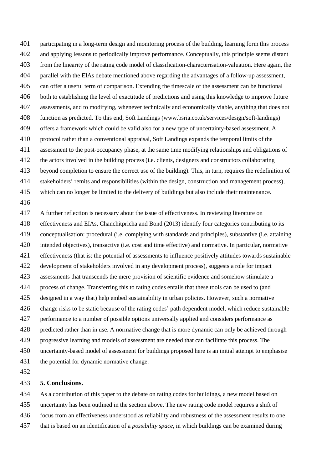participating in a long-term design and monitoring process of the building, learning form this process and applying lessons to periodically improve performance. Conceptually, this principle seems distant from the linearity of the rating code model of classification-characterisation-valuation. Here again, the parallel with the EIAs debate mentioned above regarding the advantages of a follow-up assessment, can offer a useful term of comparison. Extending the timescale of the assessment can be functional both to establishing the level of exactitude of predictions and using this knowledge to improve future assessments, and to modifying, whenever technically and economically viable, anything that does not function as predicted. To this end, Soft Landings (www.bsria.co.uk/services/design/soft-landings) offers a framework which could be valid also for a new type of uncertainty-based assessment. A protocol rather than a conventional appraisal, Soft Landings expands the temporal limits of the assessment to the post-occupancy phase, at the same time modifying relationships and obligations of the actors involved in the building process (i.e. clients, designers and constructors collaborating beyond completion to ensure the correct use of the building). This, in turn, requires the redefinition of stakeholders' remits and responsibilities (within the design, construction and management process), which can no longer be limited to the delivery of buildings but also include their maintenance. A further reflection is necessary about the issue of effectiveness. In reviewing literature on effectiveness and EIAs, Chanchitpricha and Bond (2013) identify four categories contributing to its

 conceptualisation: procedural (i.e. complying with standards and principles), substantive (i.e. attaining intended objectives), transactive (i.e. cost and time effective) and normative. In particular, normative effectiveness (that is: the potential of assessments to influence positively attitudes towards sustainable development of stakeholders involved in any development process), suggests a role for impact assessments that transcends the mere provision of scientific evidence and somehow stimulate a process of change. Transferring this to rating codes entails that these tools can be used to (and designed in a way that) help embed sustainability in urban policies. However, such a normative change risks to be static because of the rating codes' path dependent model, which reduce sustainable performance to a number of possible options universally applied and considers performance as predicted rather than in use. A normative change that is more dynamic can only be achieved through progressive learning and models of assessment are needed that can facilitate this process. The uncertainty-based model of assessment for buildings proposed here is an initial attempt to emphasise the potential for dynamic normative change.

## **5. Conclusions.**

 As a contribution of this paper to the debate on rating codes for buildings, a new model based on uncertainty has been outlined in the section above. The new rating code model requires a shift of focus from an effectiveness understood as reliability and robustness of the assessment results to one that is based on an identification of a *possibility space,* in which buildings can be examined during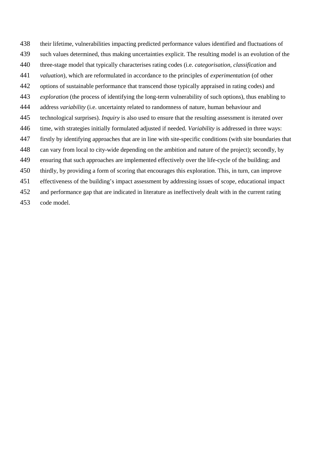- their lifetime, vulnerabilities impacting predicted performance values identified and fluctuations of
- such values determined, thus making uncertainties explicit. The resulting model is an evolution of the
- three-stage model that typically characterises rating codes (i.e. *categorisation*, *classification* and
- *valuation*), which are reformulated in accordance to the principles of *experimentation* (of other
- options of sustainable performance that transcend those typically appraised in rating codes) and
- *exploration* (the process of identifying the long-term vulnerability of such options), thus enabling to
- address *variability* (i.e. uncertainty related to randomness of nature, human behaviour and
- technological surprises). *Inquiry* is also used to ensure that the resulting assessment is iterated over
- time, with strategies initially formulated adjusted if needed. *Variability* is addressed in three ways:
- firstly by identifying approaches that are in line with site-specific conditions (with site boundaries that
- can vary from local to city-wide depending on the ambition and nature of the project); secondly, by
- ensuring that such approaches are implemented effectively over the life-cycle of the building; and
- thirdly, by providing a form of scoring that encourages this exploration. This, in turn, can improve
- effectiveness of the building's impact assessment by addressing issues of scope, educational impact
- and performance gap that are indicated in literature as ineffectively dealt with in the current rating
- code model.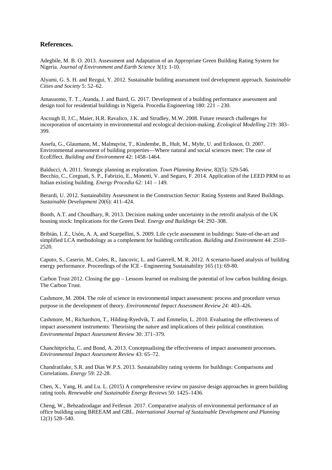#### **References.**

Adegbile, M. B. O. 2013. Assessment and Adaptation of an Appropriate Green Building Rating System for Nigeria. *Journal of Environment and Earth Science* 3(1): 1-10.

Alyami, G. S. H. and Rezgui, Y. 2012. Sustainable building assessment tool development approach. *Sustainable Cities and Society* 5: 52–62.

Amasuomo, T. T., Atanda, J. and Baird, G. 2017. Development of a building performance assessment and design tool for residential buildings in Nigeria. Procedia Engineering 180: 221 – 230.

Ascough II, J.C., Maier, H.R. Ravalico, J.K. and Strudley, M.W. 2008. Future research challenges for incorporation of uncertainty in environmental and ecological decision-making. *Ecological Modelling* 219: 383– 399.

Assefa, G., Glaumann, M., Malmqvist, T., Kindembe, B., Hult, M., Myhr, U. and Eriksson, O. 2007. Environmental assessment of building properties—Where natural and social sciences meet: The case of EcoEffect. *Building and Environment* 42: 1458–1464.

Balducci, A. 2011. Strategic planning as exploration. *Town Planning Review*, 82(5): 529-546. Becchio, C., Corgnati, S. P., Fabrizio, E., Monetti, V. and Seguro, F. 2014. Application of the LEED PRM to an Italian existing building. *Energy Procedia* 62: 141 – 149.

Berardi, U. 2012. Sustainability Assessment in the Construction Sector: Rating Systems and Rated Buildings. *Sustainable Development* 20(6): 411–424.

Booth, A.T. and Choudhary, R. 2013. Decision making under uncertainty in the retrofit analysis of the UK housing stock: Implications for the Green Deal. *Energy and Buildings* 64: 292–308.

Bribián, I. Z., Usón, A. A, and Scarpellini, S. 2009. Life cycle assessment in buildings: State-of-the-art and simplified LCA methodology as a complement for building certification. *Building and Environment* 44: 2510– 2520.

Caputo, S., Caserio, M., Coles, R., Jancovic, L. and Gaterell, M. R. 2012. A scenario-based analysis of building energy performance. Proceedings of the ICE - Engineering Sustainability 165 (1): 69-80.

Carbon Trust 2012. Closing the gap – Lessons learned on realising the potential of low carbon building design. The Carbon Trust.

Cashmore, M. 2004. The role of science in environmental impact assessment: process and procedure versus purpose in the development of theory. *Environmental Impact Assessment Review 24:* 403–426.

Cashmore, M., Richardson, T., Hilding-Ryedvik, T. and Emmelin, L. 2010. Evaluating the effectiveness of impact assessment instruments: Theorising the nature and implications of their political constitution. *Environmental Impact Assessment Review* 30: 371–379.

Chanchitpricha, C. and Bond, A. 2013. Conceptualising the effectiveness of impact assessment processes. *Environmental Impact Assessment Review* 43: 65–72.

Chandratilake, S.R. and Dias W.P.S. 2013. Sustainability rating systems for buildings: Comparisons and Correlations. *Energy* 59: 22-28.

Chen, X., Yang, H. and Lu. L. (2015) A comprehensive review on passive design approaches in green building rating tools. *Renewable and Sustainable Energy Reviews* 50: 1425–1436.

Cheng, W., Behzadzodagar and Feifesun 2017. Comparative analysis of environmental performance of an office building using BREEAM and GBL. *International Journal of Sustainable Development and Planning* 12(3) 528–540.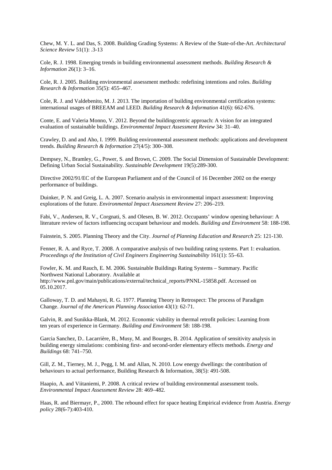Chew, M. Y. L. and Das, S. 2008. Building Grading Systems: A Review of the State-of-the-Art. *Architectural Science Review* 51(1): .3-13

Cole, R. J. 1998. Emerging trends in building environmental assessment methods. *Building Research & Information* 26(1): 3–16.

Cole, R. J. 2005. Building environmental assessment methods: redefining intentions and roles. *Building Research & Information* 35(5): 455–467.

Cole, R. J. and Valdebenito, M. J. 2013. The importation of building environmental certification systems: international usages of BREEAM and LEED. *Building Research & Information* 41(6): 662-676.

Conte, E. and Valeria Monno, V. 2012. Beyond the buildingcentric approach: A vision for an integrated evaluation of sustainable buildings. *Environmental Impact Assessment Review* 34: 31–40.

Crawley, D. and and Aho, I. 1999. Building environmental assessment methods: applications and development trends. *Building Research & Information* 27(4/5): 300–308.

Dempsey, N., Bramley, G., Power, S. and Brown, C. 2009. The Social Dimension of Sustainable Development: Defining Urban Social Sustainability. *Sustainable Development* 19(5):289-300.

Directive 2002/91/EC of the European Parliament and of the Council of 16 December 2002 on the energy performance of buildings.

Duinker, P. N. and Greig, L. A. 2007. Scenario analysis in environmental impact assessment: Improving explorations of the future. *Environmental Impact Assessment Review* 27: 206–219.

Fabi, V., Andersen, R. V., Corgnati, S. and Olesen, B. W. 2012. Occupants' window opening behaviour: A literature review of factors influencing occupant behaviour and models. *Building and Environment* 58: 188-198.

Fainstein, S. 2005. Planning Theory and the City. *Journal of Planning Education and Research* 25: 121-130.

Fenner, R. A. and Ryce, T. 2008. A comparative analysis of two building rating systems. Part 1: evaluation. *Proceedings of the Institution of Civil Engineers Engineering Sustainability* 161(1): 55–63.

Fowler, K. M. and Rauch, E. M. 2006. Sustainable Buildings Rating Systems – Summary. Pacific Northwest National Laboratory. Available at http://www.pnl.gov/main/publications/external/technical\_reports/PNNL-15858.pdf. Accessed on 05.10.2017.

Galloway, T. D. and Mahayni, R. G. 1977. Planning Theory in Retrospect: The process of Paradigm Change. *Journal of the American Planning Association* 43(1): 62-71.

Galvin, R. and Sunikka-Blank, M. 2012. Economic viability in thermal retrofit policies: Learning from ten years of experience in Germany. *Building and Environment* 58: 188-198.

Garcia Sanchez, D.. Lacarrière, B., Musy, M. and Bourges, B. 2014. Application of sensitivity analysis in building energy simulations: combining first- and second-order elementary effects methods. *Energy and Buildings* 68: 741–750.

Gill, Z. M., Tierney, M. J., Pegg, I. M. and Allan, N. 2010. Low energy dwellings: the contribution of behaviours to actual performance, Building Research & Information, 38(5): 491-508.

Haapio, A. and Viitaniemi, P. 2008. A critical review of building environmental assessment tools. *Environmental Impact Assessment Review* 28: 469–482.

Haas, R. and Biermayr, P., 2000. The rebound effect for space heating Empirical evidence from Austria. *Energy policy* 28(6-7):403-410.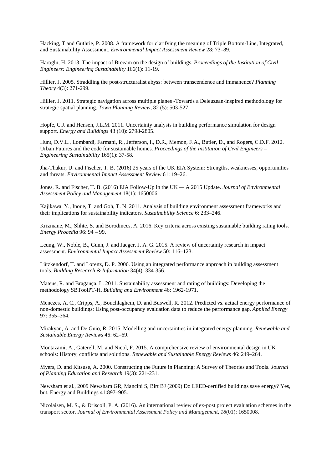Hacking, T and Guthrie, P. 2008. A framework for clarifying the meaning of Triple Bottom-Line, Integrated, and Sustainability Assessment. *Environmental Impact Assessment Review* 28: 73–89.

Haroglu, H. 2013. The impact of Breeam on the design of buildings. *Proceedings of the Institution of Civil Engineers: Engineering Sustainability* 166(1): 11-19.

Hillier, J. 2005. Straddling the post-structuralist abyss: between transcendence and immanence? *Planning Theory* 4(3): 271-299.

Hillier, J. 2011. Strategic navigation across multiple planes -Towards a Deleuzean-inspired methodology for strategic spatial planning. *Town Planning Review*, 82 (5): 503-527.

Hopfe, C.J. and Hensen, J.L.M. 2011. Uncertainty analysis in building performance simulation for design support. *Energy and Buildings* 43 (10): 2798-2805.

Hunt, D.V.L., Lombardi, Farmani, R., Jefferson, I., D.R., Memon, F.A., Butler, D., and Rogers, C.D.F. 2012. Urban Futures and the code for sustainable homes. *Proceedings of the Institution of Civil Engineers – Engineering Sustainability* 165(1): 37-58.

Jha-Thakur, U. and Fischer, T. B. (2016) 25 years of the UK EIA System: Strengths, weaknesses, opportunities and threats. *Environmental Impact Assessment Review* 61: 19–26.

Jones, R. and Fischer, T. B. (2016) EIA Follow-Up in the UK *—* A 2015 Update. *Journal of Environmental Assessment Policy and Management* 18(1): 1650006.

Kajikawa, Y., Inoue, T. and Goh, T. N. 2011. Analysis of building environment assessment frameworks and their implications for sustainability indicators. *Sustainability Science* 6: 233–246.

Krizmane, M., Slihte, S. and Borodinecs, A. 2016. Key criteria across existing sustainable building rating tools. *Energy Procedia* 96: 94 – 99.

Leung, W., Noble, B., Gunn, J. and Jaeger, J. A. G. 2015. A review of uncertainty research in impact assessment. *Environmental Impact Assessment Review* 50: 116–123.

Lützkendorf, T. and Lorenz, D. P. 2006. Using an integrated performance approach in building assessment tools. *Building Research & Information* 34(4): 334-356.

Mateus, R. and Bragança, L. 2011. Sustainability assessment and rating of buildings: Developing the methodology SBToolPT-H. *Building and Environment* 46: 1962-1971.

Menezes, A. C., Cripps, A., Bouchlaghem, D. and Buswell, R. 2012. Predicted vs. actual energy performance of non-domestic buildings: Using post-occupancy evaluation data to reduce the performance gap. *Applied Energy* 97: 355–364.

Mirakyan, A. and De Guio, R, 2015. Modelling and uncertainties in integrated energy planning. *Renewable and Sustainable Energy Reviews* 46: 62–69.

Montazami, A., Gaterell, M. and Nicol, F. 2015. A comprehensive review of environmental design in UK schools: History, conflicts and solutions. *Renewable and Sustainable Energy Reviews* 46: 249–264.

Myers, D. and Kitsuse, A. 2000. Constructing the Future in Planning: A Survey of Theories and Tools. *Journal of Planning Education and Research* 19(3): 221-231.

Newsham et al., 2009 Newsham GR, Mancini S, Birt BJ (2009) Do LEED-certified buildings save energy? Yes, but. Energy and Buildings 41:897–905.

Nicolaisen, M. S., & Driscoll, P. A. (2016). An international review of ex-post project evaluation schemes in the transport sector. *Journal of Environmental Assessment Policy and Management*, *18*(01): 1650008.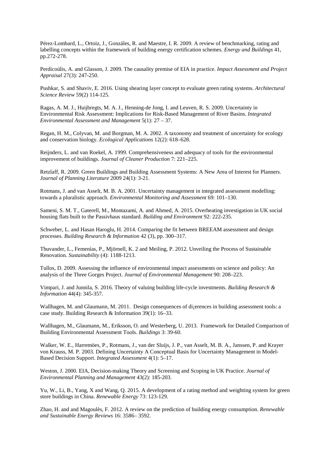Pérez-Lombard, L., Ortoiz, J., Gonzáles, R. and Maestre, I. R. 2009. A review of benchmarking, rating and labelling concepts within the framework of building energy certification schemes. *Energy and Buildings* 41, pp.272-278.

Perdicoúlis, A. and Glasson, J. 2009. The causality premise of EIA in practice. *Impact Assessment and Project Appraisal* 27(3): 247-250.

Pushkar, S. and Shaviv, E. 2016. Using shearing layer concept to evaluate green rating systems. *Architectural Science Review* 59(2) 114-125.

Ragas, A. M. J., Huijbregts, M. A. J., Henning-de Jong, I. and Leuven, R. S. 2009. Uncertainty in Environmental Risk Assessment: Implications for Risk-Based Management of River Basins. *Integrated Environmental Assessment and Management* 5(1): 27 – 37.

Regan, H. M., Colyvan, M. and Borgman, M. A. 2002. A taxonomy and treatment of uncertainty for ecology and conservation biology. *Ecological Applications* 12(2): 618–628.

Reijnders, L. and van Roekel, A. 1999. Comprehensiveness and adequacy of tools for the environmental improvement of buildings. *Journal of Cleaner Production* 7: 221–225.

Retzlaff, R. 2009. Green Buildings and Building Assessment Systems: A New Area of Interest for Planners. *Journal of Planning Literature* 2009 24(1): 3-21.

Rotmans, J. and van Asselt, M. B. A. 2001. Uncertainty management in integrated assessment modelling: towards a pluralistic approach. *Environmental Monitoring and Assessment* 69: 101–130.

Sameni, S. M. T., Gaterell, M., Montazami, A. and Ahmed, A. 2015. Overheating investigation in UK social housing flats built to the Passivhaus standard. *Building and Environment* 92: 222-235.

Schweber, L. and Hasan Haroglu, H. 2014. Comparing the fit between BREEAM assessment and design processes. *Building Research & Information* 42 (3), pp. 300–317.

Thuvander, L., Femenías, P., Mjörnell, K. 2 and Meiling, P. 2012. Unveiling the Process of Sustainable Renovation. *Sustainability* (4): 1188-1213.

Tullos, D. 2009. Assessing the influence of environmental impact assessments on science and policy: An analysis of the Three Gorges Project. *Journal of Environmental Management* 90: 208–223.

Vimpari, J. and Junnila, S. 2016. Theory of valuing building life-cycle investments. *Building Research & Information* 44(4): 345-357.

Wallhagen, M. and Glaumann, M. 2011. Design consequences of di<sub>jerences</sub> in building assessment tools: a case study. Building Research & Information 39(1): 16–33.

Wallhagen, M., Glaumann, M., Eriksson, O. and Westerberg, U. 2013. Framework for Detailed Comparison of Building Environmental Assessment Tools. *Buildings* 3: 39-60.

Walker, W. E., Harremöes, P., Rotmans, J., van der Sluijs, J. P., van Asselt, M. B. A., Janssen, P. and Krayer von Krauss, M. P. 2003. Defining Uncertainty A Conceptual Basis for Uncertainty Management in Model-Based Decision Support. *Integrated Assessment* 4(1): 5–17.

Weston, J. 2000. EIA, Decision-making Theory and Screening and Scoping in UK Practice. *Journal of Environmental Planning and Management* 43(2): 185-203.

Yu, W., Li, B., Yang, X and Wang, Q. 2015. A development of a rating method and weighting system for green store buildings in China. *Renewable Energy* 73: 123-129.

Zhao, H. and and Magoulès, F. 2012. A review on the prediction of building energy consumption. *Renewable and Sustainable Energy Reviews* 16: 3586– 3592.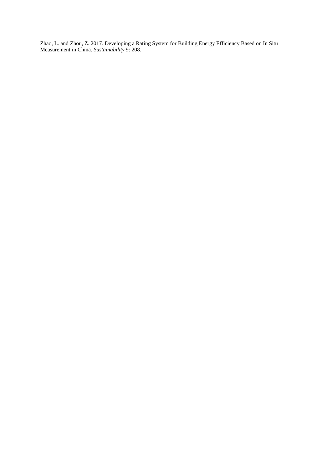Zhao, L. and Zhou, Z. 2017. Developing a Rating System for Building Energy Efficiency Based on In Situ Measurement in China. *Sustainability* 9: 208.